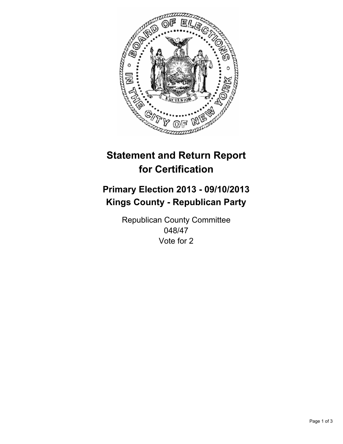

# **Statement and Return Report for Certification**

## **Primary Election 2013 - 09/10/2013 Kings County - Republican Party**

Republican County Committee 048/47 Vote for 2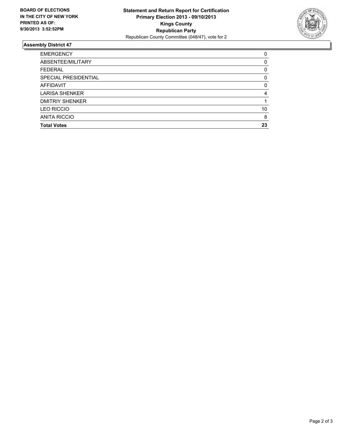

### **Assembly District 47**

| <b>EMERGENCY</b>       | 0        |
|------------------------|----------|
| ABSENTEE/MILITARY      | 0        |
| <b>FEDERAL</b>         | 0        |
| SPECIAL PRESIDENTIAL   | 0        |
| <b>AFFIDAVIT</b>       | $\Omega$ |
| <b>LARISA SHENKER</b>  | 4        |
| <b>DMITRIY SHENKER</b> |          |
| <b>LEO RICCIO</b>      | 10       |
| <b>ANITA RICCIO</b>    | 8        |
| <b>Total Votes</b>     | 23       |
|                        |          |